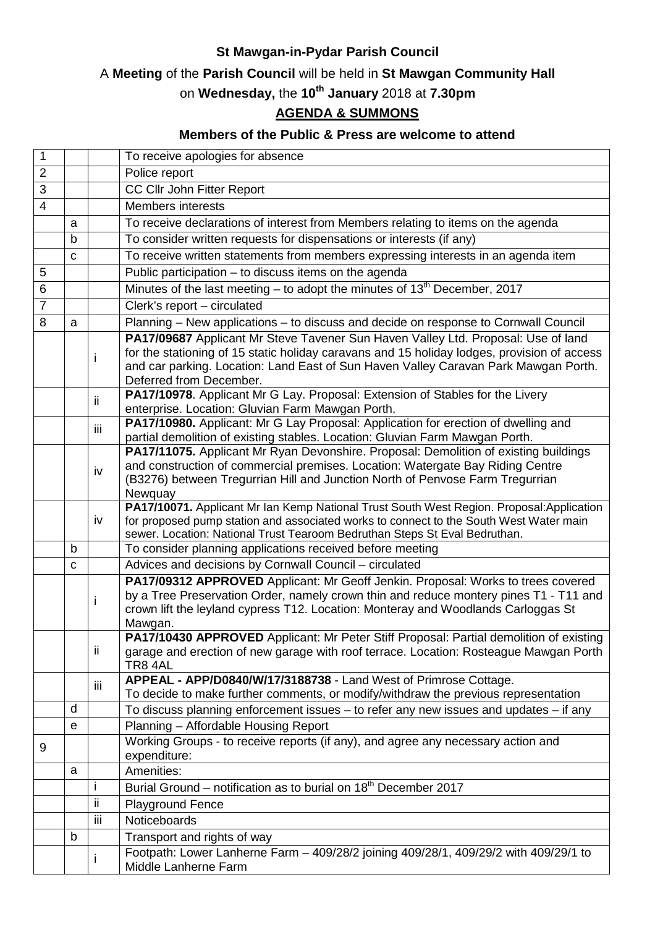## **St Mawgan-in-Pydar Parish Council**

## A **Meeting** of the **Parish Council** will be held in **St Mawgan Community Hall**

on **Wednesday,** the **10th January** 2018 at **7.30pm**

## **AGENDA & SUMMONS**

## **Members of the Public & Press are welcome to attend**

| $\mathbf{1}$   |    |     | To receive apologies for absence                                                                                                                                                                                                                                                                   |
|----------------|----|-----|----------------------------------------------------------------------------------------------------------------------------------------------------------------------------------------------------------------------------------------------------------------------------------------------------|
| $\overline{2}$ |    |     | Police report                                                                                                                                                                                                                                                                                      |
| 3              |    |     | CC Cllr John Fitter Report                                                                                                                                                                                                                                                                         |
| $\overline{4}$ |    |     | <b>Members interests</b>                                                                                                                                                                                                                                                                           |
|                | a  |     | To receive declarations of interest from Members relating to items on the agenda                                                                                                                                                                                                                   |
|                | b  |     | To consider written requests for dispensations or interests (if any)                                                                                                                                                                                                                               |
|                | C  |     | To receive written statements from members expressing interests in an agenda item                                                                                                                                                                                                                  |
| 5              |    |     | Public participation - to discuss items on the agenda                                                                                                                                                                                                                                              |
| $6\phantom{1}$ |    |     | Minutes of the last meeting – to adopt the minutes of 13 <sup>th</sup> December, 2017                                                                                                                                                                                                              |
| $\overline{7}$ |    |     | Clerk's report - circulated                                                                                                                                                                                                                                                                        |
|                |    |     |                                                                                                                                                                                                                                                                                                    |
| 8              | a  |     | Planning - New applications - to discuss and decide on response to Cornwall Council                                                                                                                                                                                                                |
|                |    | i   | PA17/09687 Applicant Mr Steve Tavener Sun Haven Valley Ltd. Proposal: Use of land<br>for the stationing of 15 static holiday caravans and 15 holiday lodges, provision of access<br>and car parking. Location: Land East of Sun Haven Valley Caravan Park Mawgan Porth.<br>Deferred from December. |
|                |    | ii. | PA17/10978. Applicant Mr G Lay. Proposal: Extension of Stables for the Livery<br>enterprise. Location: Gluvian Farm Mawgan Porth.                                                                                                                                                                  |
|                |    | iii | PA17/10980. Applicant: Mr G Lay Proposal: Application for erection of dwelling and<br>partial demolition of existing stables. Location: Gluvian Farm Mawgan Porth.                                                                                                                                 |
|                |    | iv  | PA17/11075. Applicant Mr Ryan Devonshire. Proposal: Demolition of existing buildings<br>and construction of commercial premises. Location: Watergate Bay Riding Centre<br>(B3276) between Tregurrian Hill and Junction North of Penvose Farm Tregurrian<br>Newquay                                 |
|                |    | iv  | PA17/10071. Applicant Mr Ian Kemp National Trust South West Region. Proposal:Application<br>for proposed pump station and associated works to connect to the South West Water main<br>sewer. Location: National Trust Tearoom Bedruthan Steps St Eval Bedruthan.                                   |
|                | b. |     | To consider planning applications received before meeting                                                                                                                                                                                                                                          |
|                | C  |     | Advices and decisions by Cornwall Council - circulated                                                                                                                                                                                                                                             |
|                |    | i   | PA17/09312 APPROVED Applicant: Mr Geoff Jenkin. Proposal: Works to trees covered<br>by a Tree Preservation Order, namely crown thin and reduce montery pines T1 - T11 and<br>crown lift the leyland cypress T12. Location: Monteray and Woodlands Carloggas St<br>Mawgan.                          |
|                |    | ij. | PA17/10430 APPROVED Applicant: Mr Peter Stiff Proposal: Partial demolition of existing<br>garage and erection of new garage with roof terrace. Location: Rosteague Mawgan Porth<br>TR8 4AL                                                                                                         |
|                |    | iii | APPEAL - APP/D0840/W/17/3188738 - Land West of Primrose Cottage.                                                                                                                                                                                                                                   |
|                |    |     | To decide to make further comments, or modify/withdraw the previous representation                                                                                                                                                                                                                 |
|                | d  |     | To discuss planning enforcement issues - to refer any new issues and updates - if any                                                                                                                                                                                                              |
|                | e  |     | Planning - Affordable Housing Report                                                                                                                                                                                                                                                               |
| 9              |    |     | Working Groups - to receive reports (if any), and agree any necessary action and<br>expenditure:                                                                                                                                                                                                   |
|                | a  |     | Amenities:                                                                                                                                                                                                                                                                                         |
|                |    | Ť   | Burial Ground – notification as to burial on 18 <sup>th</sup> December 2017                                                                                                                                                                                                                        |
|                |    | Ïİ  | <b>Playground Fence</b>                                                                                                                                                                                                                                                                            |
|                |    | iii | Noticeboards                                                                                                                                                                                                                                                                                       |
|                | b  |     | Transport and rights of way                                                                                                                                                                                                                                                                        |
|                |    | j.  | Footpath: Lower Lanherne Farm - 409/28/2 joining 409/28/1, 409/29/2 with 409/29/1 to<br>Middle Lanherne Farm                                                                                                                                                                                       |